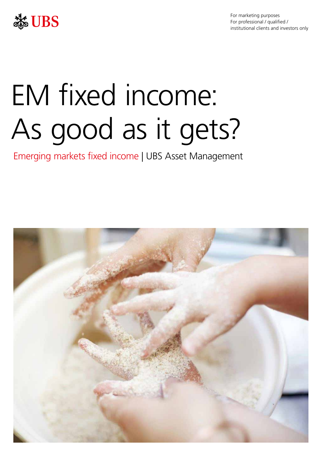

For marketing purposes For professional / qualified / institutional clients and investors only

# EM fixed income: As good as it gets?

Emerging markets fixed income | UBS Asset Management

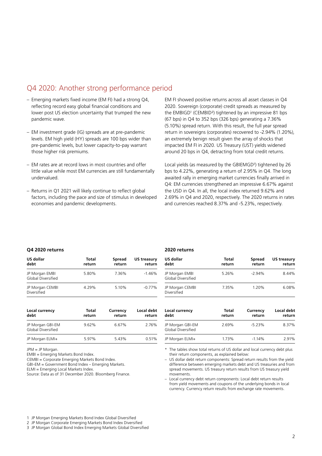## Q4 2020: Another strong performance period

- Emerging markets fixed income (EM FI) had a strong Q4, EM FI showed positive returns across all asset classes in Q4 lower post US election uncertainty that trumped the new pandemic wave. (67 bps) in Q4 to 352 bps (326 bps) generating a 7.36%
- levels. EM high yield (HY) spreads are 100 bps wider than an extremely benign result given the array of shocks that those higher risk premiums. around 20 bps in Q4, detracting from total credit returns.
- EM rates are at record lows in most countries and offer
- Returns in Q1 2021 will likely continue to reflect global the USD in Q4. In all, the local index returned 9.62% and economies and pandemic developments. and currencies reached 8.37% and -5.23%, respectively.

reflecting record easy global financial conditions and 2020. Sovereign (corporate) credit spreads as measured by the EMBIGD<sup>1</sup> (CEMBID<sup>2</sup>) tightened by an impressive 81 bps (5.10%) spread return. With this result, the full year spread – EM investment grade (IG) spreads are at pre-pandemic return in sovereigns (corporates) recovered to -2.94% (1.20%), pre-pandemic levels, but lower capacity-to-pay warrant impacted EM FI in 2020. US Treasury (UST) yields widened

Local yields (as measured by the GBIEMGD<sup>3</sup>) tightened by 26 little value while most EM currencies are still fundamentally bps to 4.22%, generating a return of 2.95% in Q4. The long undervalued. awaited rally in emerging market currencies finally arrived in Q4: EM currencies strengthened an impressive 6.67% against factors, including the pace and size of stimulus in developed 2.69% in Q4 and 2020, respectively. The 2020 returns in rates

## **Q4 2020 returns**

| US dollar<br>debt                           | Total<br>return | <b>Spread</b><br>return | <b>US treasury</b><br>return |
|---------------------------------------------|-----------------|-------------------------|------------------------------|
| JP Morgan EMBI<br><b>Global Diversified</b> | 5.80%           | 7.36%                   | $-1.46%$                     |
| JP Morgan CEMBI<br>Diversified              | 4.29%           | 5.10%                   | $-0.77%$                     |

| Local currency<br>debt                        | Total<br>return | Currency<br>return | Local debt<br>return |
|-----------------------------------------------|-----------------|--------------------|----------------------|
| JP Morgan GBI-EM<br><b>Global Diversified</b> | 9.62%           | 6.67%              | 2.76%                |
| JP Morgan ELMI+                               | 5.97%           | 5.43%              | 0.51%                |
|                                               |                 |                    |                      |

JPM = JP Morgan.

EMBI = Emerging Markets Bond Index.

CEMBI = Corporate Emerging Markets Bond Index.

GBI-EM = Government Bond Index – Emerging Markets.

ELMI = Emerging Local Markets Index.

Source: Data as of 31 December 2020. Bloomberg Finance.

## **2020 returns**

| US dollar<br>debt                    | Total<br>return | Spread<br>return | US treasury<br>return |
|--------------------------------------|-----------------|------------------|-----------------------|
| JP Morgan EMBI<br>Global Diversified | 5.26%           | $-2.94%$         | 8.44%                 |
| JP Morgan CEMBI<br>Diversified       | 7.35%           | 1.20%            | 6.08%                 |

| Local currency<br>debt                 | Total<br>return | Currency<br>return | Local debt<br>return |
|----------------------------------------|-----------------|--------------------|----------------------|
| JP Morgan GBI-EM<br>Global Diversified | 2.69%           | $-5.23%$           | 8.37%                |
| JP Morgan ELMI+                        | 1.73%           | $-1.14%$           | 2.91%                |

The tables show total returns of US dollar and local currency debt plus their return components, as explained below:

– US dollar debt return components: Spread return results from the yield difference between emerging markets debt and US treasuries and from spread movements. US treasury return results from US treasury yield movements.

– Local currency debt return components: Local debt return results from yield movements and coupons of the underlying bonds in local currency. Currency return results from exchange rate movements.

1 JP Morgan Emerging Markets Bond Index Global Diversified

2 JP Morgan Corporate Emerging Markets Bond Index Diversified

3 JP Morgan Global Bond Index Emerging Markets Global Diversified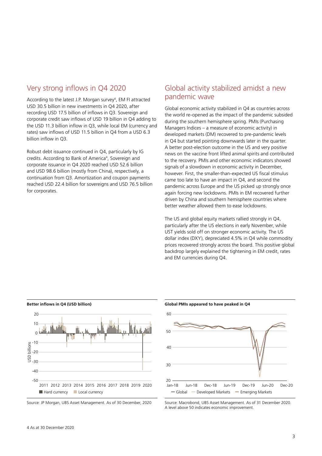## Very strong inflows in Q4 2020

According to the latest J.P. Morgan survey<sup>4</sup>, EM FI attracted USD 30.5 billion in new investments in Q4 2020, after recording USD 17.5 billion of inflows in Q3. Sovereign and corporate credit saw inflows of USD 19 billion in Q4 adding to the USD 11.3 billion inflow in Q3, while local EM (currency and rates) saw inflows of USD 11.5 billion in Q4 from a USD 6.3 billion inflow in Q3.

Robust debt issuance continued in Q4, particularly by IG credits. According to Bank of America<sup>4</sup>, Sovereign and corporate issuance in Q4 2020 reached USD 52.6 billion and USD 98.6 billion (mostly from China), respectively, a continuation from Q3. Amortization and coupon payments reached USD 22.4 billion for sovereigns and USD 76.5 billion for corporates.

# Global activity stabilized amidst a new pandemic wave

Global economic activity stabilized in Q4 as countries across the world re-opened as the impact of the pandemic subsided during the southern hemisphere spring. PMIs (Purchasing Managers Indices – a measure of economic activity) in developed markets (DM) recovered to pre-pandemic levels in Q4 but started pointing downwards later in the quarter. A better post-election outcome in the US and very positive news on the vaccine front lifted animal spirits and contributed to the recovery. PMIs and other economic indicators showed signals of a slowdown in economic activity in December, however. First, the smaller-than-expected US fiscal stimulus came too late to have an impact in Q4, and second the pandemic across Europe and the US picked up strongly once again forcing new lockdowns. PMIs in EM recovered further driven by China and southern hemisphere countries where better weather allowed them to ease lockdowns.

The US and global equity markets rallied strongly in O4. particularly after the US elections in early November, while UST yields sold off on stronger economic activity. The US dollar index (DXY), depreciated 4.5% in Q4 while commodity prices recovered strongly across the board. This positive global backdrop largely explained the tightening in EM credit, rates and EM currencies during Q4.



Source: JP Morgan, UBS Asset Management. As of 30 December, 2020

### **Global PMIs appeared to have peaked in Q4**



Source: Macrobond, UBS Asset Management. As of 31 December 2020. A level above 50 indicates economic improvement.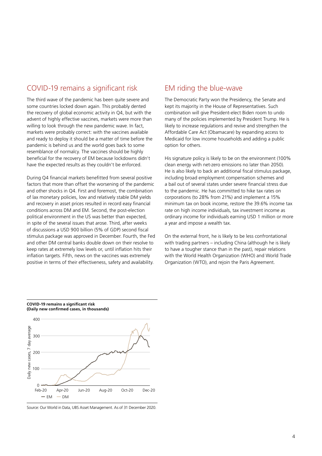## COVID-19 remains a significant risk

The third wave of the pandemic has been quite severe and some countries locked down again. This probably dented the recovery of global economic activity in Q4, but with the advent of highly effective vaccines, markets were more than willing to look through the new pandemic wave. In fact, markets were probably correct: with the vaccines available and ready to deploy it should be a matter of time before the pandemic is behind us and the world goes back to some resemblance of normalcy. The vaccines should be highly beneficial for the recovery of EM because lockdowns didn't have the expected results as they couldn't be enforced.

During Q4 financial markets benefitted from several positive factors that more than offset the worsening of the pandemic and other shocks in Q4. First and foremost, the combination of lax monetary policies, low and relatively stable DM yields and recovery in asset prices resulted in record easy financial conditions across DM and EM. Second, the post-election political environment in the US was better than expected, in spite of the several issues that arose. Third, after weeks of discussions a USD 900 billion (5% of GDP) second fiscal stimulus package was approved in December. Fourth, the Fed and other DM central banks double down on their resolve to keep rates at extremely low levels or, until inflation hits their inflation targets. Fifth, news on the vaccines was extremely positive in terms of their effectiveness, safety and availability.

## EM riding the blue-wave

The Democratic Party won the Presidency, the Senate and kept its majority in the House of Representatives. Such combination will give President-elect Biden room to undo many of the policies implemented by President Trump. He is likely to increase regulations and revive and strengthen the Affordable Care Act (Obamacare) by expanding access to Medicaid for low income households and adding a public option for others.

His signature policy is likely to be on the environment (100% clean energy with net-zero emissions no later than 2050). He is also likely to back an additional fiscal stimulus package, including broad employment compensation schemes and a bail out of several states under severe financial stress due to the pandemic. He has committed to hike tax rates on corporations (to 28% from 21%) and implement a 15% minimum tax on book income, restore the 39.6% income tax rate on high income individuals, tax investment income as ordinary income for individuals earning USD 1 million or more a year and impose a wealth tax.

On the external front, he is likely to be less confrontational with trading partners – including China (although he is likely to have a tougher stance than in the past), repair relations with the World Health Organization (WHO) and World Trade Organization (WTO), and rejoin the Paris Agreement.



**COVID-19 remains a significant risk (Daily new confirmed cases, in thousands)**

Source: Our World in Data, UBS Asset Management. As of 31 December 2020.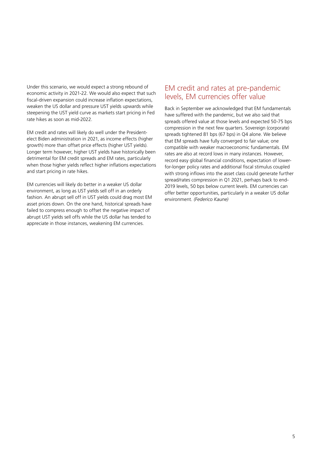Under this scenario, we would expect a strong rebound of economic activity in 2021-22. We would also expect that such fiscal-driven expansion could increase inflation expectations, weaken the US dollar and pressure UST yields upwards while steepening the UST yield curve as markets start pricing in Fed rate hikes as soon as mid-2022.

EM credit and rates will likely do well under the Presidentelect Biden administration in 2021, as income effects (higher growth) more than offset price effects (higher UST yields). Longer term however, higher UST yields have historically been detrimental for EM credit spreads and EM rates, particularly when those higher yields reflect higher inflations expectations and start pricing in rate hikes.

EM currencies will likely do better in a weaker US dollar environment, as long as UST yields sell off in an orderly fashion. An abrupt sell off in UST yields could drag most EM asset prices down. On the one hand, historical spreads have failed to compress enough to offset the negative impact of abrupt UST yields sell offs while the US dollar has tended to appreciate in those instances, weakening EM currencies.

## EM credit and rates at pre-pandemic levels, EM currencies offer value

Back in September we acknowledged that EM fundamentals have suffered with the pandemic, but we also said that spreads offered value at those levels and expected 50-75 bps compression in the next few quarters. Sovereign (corporate) spreads tightened 81 bps (67 bps) in Q4 alone. We believe that EM spreads have fully converged to fair value; one compatible with weaker macroeconomic fundamentals. EM rates are also at record lows in many instances. However, record easy global financial conditions, expectation of lowerfor-longer policy rates and additional fiscal stimulus coupled with strong inflows into the asset class could generate further spread/rates compression in Q1 2021, perhaps back to end-2019 levels, 50 bps below current levels. EM currencies can offer better opportunities, particularly in a weaker US dollar environment. *(Federico Kaune)*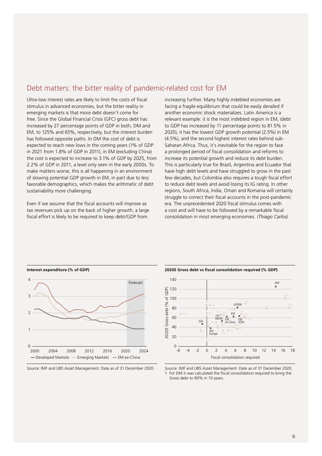# Debt matters: the bitter reality of pandemic-related cost for EM

Ultra-low interest rates are likely to limit the costs of fiscal stimulus in advanced economies, but the bitter reality in emerging markets is that more debt doesn't come for free. Since the Global Financial Crisis (GFC) gross debt has increased by 27 percentage points of GDP in both, DM and EM, to 125% and 65%, respectively, but the interest burden has followed opposite paths. In DM the cost of debt is expected to reach new lows in the coming years (1% of GDP in 2021 from 1.8% of GDP in 2011), in EM (excluding China) the cost is expected to increase to 3.1% of GDP by 2025, from 2.2% of GDP in 2011, a level only seen in the early 2000s. To make matters worse, this is all happening in an environment of slowing potential GDP growth in EM, in part due to less favorable demographics, which makes the arithmetic of debt sustainability more challenging.

Even if we assume that the fiscal accounts will improve as tax revenues pick up on the back of higher growth, a large fiscal effort is likely to be required to keep debt/GDP from

increasing further. Many highly indebted economies are facing a fragile equilibrium that could be easily derailed if another economic shock materializes. Latin America is a relevant example: it is the most indebted region in EM, (debt to GDP has increased by 11 percentage points to 81.5% in 2020), it has the lowest GDP growth potential (2.5%) in EM (4.5%), and the second highest interest rates behind sub-Saharan Africa. Thus, it's inevitable for the region to face a prolonged period of fiscal consolidation and reforms to increase its potential growth and reduce its debt burden. This is particularly true for Brazil, Argentina and Ecuador that have high debt levels and have struggled to grow in the past few decades, but Colombia also requires a tough fiscal effort to reduce debt levels and avoid losing its IG rating. In other regions, South Africa, India, Oman and Romania will certainly struggle to correct their fiscal accounts in the post-pandemic era. The unprecedented 2020 fiscal stimulus comes with a cost and will have to be followed by a remarkable fiscal consolidation in most emerging economies. *(Thiago Carlos)*





**2020E Gross debt vs fiscal consolidation required (% GDP)**



Source: IMF and UBS Asset Management. Date as of 31 December 2020. 1 For DM it was calculated the fiscal consolidation required to bring the Gross debt to 90% in 10 years.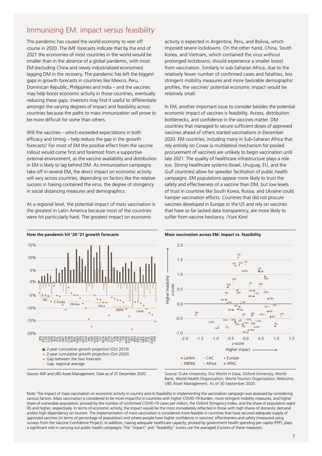# Immunizing EM: impact versus feasibility

The pandemic has caused the world economy to veer off course in 2020. The IMF forecasts indicate that by the end of 2021 the economies of most countries in the world would be smaller than in the absence of a global pandemic, with most EM (excluding China and newly industrialized economies) lagging DM in the recovery. The pandemic has left the biggest gaps in growth forecasts in countries like Mexico, Peru, Dominican Republic, Philippines and India – and the vaccines may help boost economic activity in those countries, eventually reducing these gaps. Investors may find it useful to differentiate amongst the varying degrees of impact and feasibility across countries because the paths to mass immunization will prove to be more difficult for some than others.

Will the vaccines – which exceeded expectations in both efficacy and timing – help reduce the gap in the growth forecasts? For most of EM the positive effect from the vaccine rollout would come first and foremost from a supportive external environment, as the vaccine availability and distribution in EM is likely to lag behind DM. As immunization campaigns take off in several EM, the direct impact on economic activity will vary across countries, depending on factors like the relative success in having contained the virus, the degree of stringency in social distancing measures and demographics.

At a regional level, the potential impact of mass vaccination is the greatest in Latin America because most of the countries were hit particularly hard. The greatest impact on economic

activity is expected in Argentina, Peru, and Bolivia, which imposed severe lockdowns. On the other hand, China, South Korea, and Vietnam, which contained the virus without prolonged lockdowns, should experience a smaller boost from vaccination. Similarly in sub-Saharan Africa, due to the relatively fewer number of confirmed cases and fatalities, less stringent mobility measures and more favorable demographic profiles, the vaccines' potential economic impact would be relatively small.

In EM, another important issue to consider besides the potential economic impact of vaccines is feasibility. Access, distribution bottlenecks, and confidence in the vaccines matter. DM countries that managed to secure sufficient doses of approved vaccines ahead of others started vaccinations in December 2020. EM countries, including many in Sub-Saharan Africa that rely entirely on Covax (a multilateral mechanism for pooled procurement of vaccines) are unlikely to begin vaccination until late 2021. The quality of healthcare infrastructure plays a role too. Strong healthcare systems (Israel, Uruguay, EU, and the Gulf countries) allow for speedier facilitation of public health campaigns. EM populations appear more likely to trust the safety and effectiveness of a vaccine than DM, but low levels of trust in countries like South Korea, Russia, and Ukraine could hamper vaccination efforts. Countries that did not procure vaccines developed in Europe or the US and rely on vaccines that have so far lacked data transparency, are more likely to suffer from vaccine hesitancy. *(Yuni Kim)*



Source: IMF and UBS Asset Management. Date as of 31 December 2020.

## **Mass vaccination across EM: impact vs. feasibility**



Source: Duke University, Our World in Data, Oxford University, World Bank, World Health Organization, World Tourism Organization, Welcome, UBS Asset Management. As of 30 September 2020.

Note: The impact of mass vaccination on economic activity in country and its feasibility in implementing the vaccination campaign was assessed by considering various factors. Mass vaccination is considered to be more impactful in countries with higher COVID-19 burden, more stringent mobility measures, and higher share of vulnerable population, proxied by the number of confirmed COVID-19 cases per million, the Oxford Stringency Index, and the share of population aged 65 and higher, respectively. In terms of economic activity, the impact would be the most immediately reflected in those with high shares of domestic demand and/or high dependency on tourism. The implementation of mass vaccination is considered more feasible in countries that have secured adequate supply of approved vaccines (in terms of percentage of population) and where people have higher confidence in vaccines' effectiveness and safety (measured using surveys from the Vaccine Confidence Project). In addition, having adequate healthcare capacity, proxied by government health spending per capita (PPP), plays a significant role in carrying out public health campaigns. The "impact" and "feasibility" scores use the averaged Z-scores of these measures.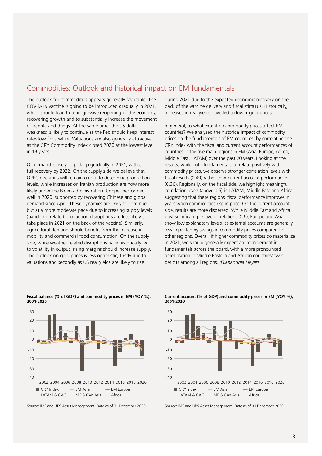# Commodities: Outlook and historical impact on EM fundamentals

The outlook for commodities appears generally favorable. The COVID-19 vaccine is going to be introduced gradually in 2021, which should lead to a progressive reopening of the economy, recovering growth and to substantially increase the movement of people and things. At the same time, the US dollar weakness is likely to continue as the Fed should keep interest rates low for a while. Valuations are also generally attractive, as the CRY Commodity Index closed 2020 at the lowest level in 19 years.

Oil demand is likely to pick up gradually in 2021, with a full recovery by 2022. On the supply side we believe that OPEC decisions will remain crucial to determine production levels, while increases on Iranian production are now more likely under the Biden administration. Copper performed well in 2020, supported by recovering Chinese and global demand since April. These dynamics are likely to continue but at a more moderate pace due to increasing supply levels (pandemic related production disruptions are less likely to take place in 2021 on the back of the vaccine). Similarly, agricultural demand should benefit from the increase in mobility and commercial food consumption. On the supply side, while weather related disruptions have historically led to volatility in output, rising margins should increase supply. The outlook on gold prices is less optimistic, firstly due to valuations and secondly as US real yields are likely to rise

during 2021 due to the expected economic recovery on the back of the vaccine delivery and fiscal stimulus. Historically, increases in real yields have led to lower gold prices.

In general, to what extent do commodity prices affect EM countries? We analysed the historical impact of commodity prices on the fundamentals of EM countries, by correlating the CRY index with the fiscal and current account performances of countries in the five main regions in EM (Asia, Europe, Africa, Middle East, LATAM) over the past 20 years. Looking at the results, while both fundamentals correlate positively with commodity prices, we observe stronger correlation levels with fiscal results (0.49) rather than current account performance (0.36). Regionally, on the fiscal side, we highlight meaningful correlation levels (above 0.5) in LATAM, Middle East and Africa, suggesting that these regions' fiscal performance improves in years when commodities rise in price. On the current account side, results are more dispersed. While Middle East and Africa post significant positive correlations (0.6), Europe and Asia show low explanatory levels, as external accounts are generally less impacted by swings in commodity prices compared to other regions. Overall, if higher commodity prices do materialize in 2021, we should generally expect an improvement in fundamentals across the board, with a more pronounced amelioration in Middle Eastern and African countries' twin deficits among all regions. *(Gianandrea Heyer)*



## **Fiscal balance (% of GDP) and commodity prices in EM (YOY %), 2001-2020**

Source: IMF and UBS Asset Management. Date as of 31 December 2020.





Source: IMF and UBS Asset Management. Date as of 31 December 2020.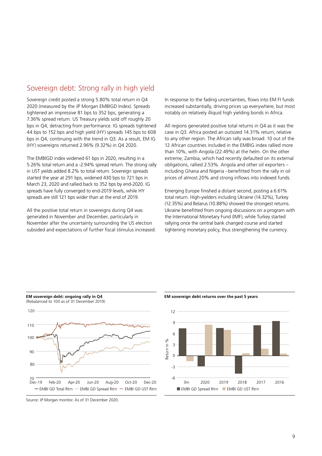# Sovereign debt: Strong rally in high yield

Sovereign credit posted a strong 5.80% total return in Q4 2020 (measured by the JP Morgan EMBIGD Index). Spreads tightened an impressive 81 bps to 352 bps, generating a 7.36% spread return. US Treasury yields sold off roughly 20 bps in Q4, detracting from performance. IG spreads tightened 44 bps to 152 bps and high yield (HY) spreads 145 bps to 608 bps in Q4, continuing with the trend in Q3. As a result, EM IG (HY) sovereigns returned 2.96% (9.32%) in Q4 2020.

The EMBIGD index widened 61 bps in 2020, resulting in a 5.26% total return and a -2.94% spread return. The strong rally in UST yields added 8.2% to total return. Sovereign spreads started the year at 291 bps, widened 430 bps to 721 bps in March 23, 2020 and rallied back to 352 bps by end-2020. IG spreads have fully converged to end-2019 levels, while HY spreads are still 121 bps wider than at the end of 2019.

All the positive total return in sovereigns during Q4 was generated in November and December, particularly in November after the uncertainty surrounding the US election subsided and expectations of further fiscal stimulus increased. In response to the fading uncertainties, flows into EM FI funds increased substantially, driving prices up everywhere, but most notably on relatively illiquid high yielding bonds in Africa.

All regions generated positive total returns in Q4 as it was the case in Q3. Africa posted an outsized 14.31% return, relative to any other region. The African rally was broad: 10 out of the 12 African countries included in the EMBIG index rallied more than 10%, with Angola (22.49%) at the helm. On the other extreme, Zambia, which had recently defaulted on its external obligations, rallied 2.53%. Angola and other oil exporters – including Ghana and Nigeria –benefitted from the rally in oil prices of almost 20% and strong inflows into indexed funds.

Emerging Europe finished a distant second, posting a 6.61% total return. High-yielders including Ukraine (14.32%), Turkey (12.35%) and Belarus (10.88%) showed the strongest returns. Ukraine benefitted from ongoing discussions on a program with the International Monetary Fund (IMF), while Turkey started rallying once the central bank changed course and started tightening monetary policy, thus strengthening the currency.



**EM sovereign debt returns over the past 5 years**



Source: JP Morgan monitor. As of 31 December 2020.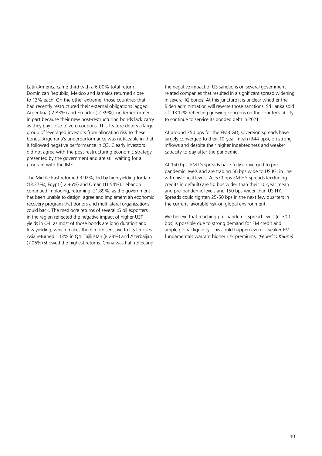Latin America came third with a 6.00% total return. Dominican Republic, Mexico and Jamaica returned close to 13% each. On the other extreme, those countries that had recently restructured their external obligations lagged. Argentina (-2.83%) and Ecuador (-2.39%), underperformed in part because their new post-restructuring bonds lack carry as they pay close to zero coupons. This feature deters a large group of leveraged investors from allocating risk to these bonds. Argentina's underperformance was noticeable in that it followed negative performance in Q3. Clearly investors did not agree with the post-restructuring economic strategy presented by the government and are still waiting for a program with the IMF.

The Middle East returned 3.92%, led by high yielding Jordan (13.27%), Egypt (12.96%) and Oman (11.54%). Lebanon continued imploding, returning -21.89%, as the government has been unable to design, agree and implement an economic recovery program that donors and multilateral organizations could back. The mediocre returns of several IG oil exporters in the region reflected the negative impact of higher UST yields in Q4, as most of those bonds are long duration and low yielding, which makes them more sensitive to UST moves. Asia returned 1.13% in Q4. Tajikistan (8.23%) and Azerbaijan (7.06%) showed the highest returns. China was flat, reflecting

the negative impact of US sanctions on several government related companies that resulted in a significant spread widening in several IG bonds. At this juncture it is unclear whether the Biden administration will reverse those sanctions. Sri Lanka sold off 13.12% reflecting growing concerns on the country's ability to continue to service its bonded debt in 2021.

At around 350 bps for the EMBIGD, sovereign spreads have largely converged to their 10-year mean (344 bps), on strong inflows and despite their higher indebtedness and weaker capacity to pay after the pandemic.

At 150 bps, EM IG spreads have fully converged to prepandemic levels and are trading 50 bps wide to US IG, in line with historical levels. At 570 bps EM HY spreads (excluding credits in default) are 50 bps wider than their 10-year mean and pre-pandemic levels and 150 bps wider than US HY. Spreads could tighten 25-50 bps in the next few quarters in the current favorable risk-on global environment.

We believe that reaching pre-pandemic spread levels (c. 300 bps) is possible due to strong demand for EM credit and ample global liquidity. This could happen even if weaker EM fundamentals warrant higher risk premiums. *(Federico Kaune)*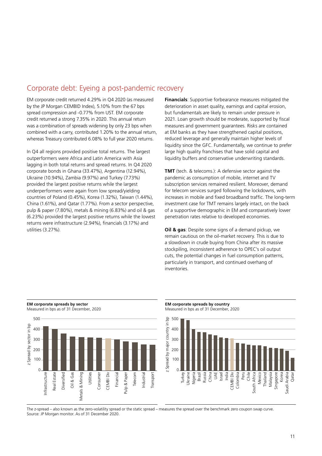# Corporate debt: Eyeing a post-pandemic recovery

EM corporate credit returned 4.29% in Q4 2020 (as measured by the JP Morgan CEMBID Index), 5.10% from the 67 bps spread compression and -0.77% from UST. EM corporate credit returned a strong 7.35% in 2020. This annual return was a combination of spreads widening by only 23 bps when combined with a carry, contributed 1.20% to the annual return, whereas Treasury contributed 6.08% to full year 2020 returns.

In Q4 all regions provided positive total returns. The largest outperformers were Africa and Latin America with Asia lagging in both total returns and spread returns. In Q4 2020 corporate bonds in Ghana (33.47%), Argentina (12.94%), Ukraine (10.94%), Zambia (9.97%) and Turkey (7.73%) provided the largest positive returns while the largest underperformers were again from low spread/yielding countries of Poland (0.45%), Korea (1.32%), Taiwan (1.44%), China (1.61%), and Qatar (1.77%). From a sector perspective, pulp & paper (7.80%), metals & mining (6.83%) and oil & gas (6.23%) provided the largest positive returns while the lowest returns were infrastructure (2.94%), financials (3.17%) and utilities (3.27%).

**Financials**: Supportive forbearance measures mitigated the deterioration in asset quality, earnings and capital erosion, but fundamentals are likely to remain under pressure in 2021. Loan growth should be moderate, supported by fiscal measures and government guarantees. Risks are contained at EM banks as they have strengthened capital positions, reduced leverage and generally maintain higher levels of liquidity since the GFC. Fundamentally, we continue to prefer large high quality franchises that have solid capital and liquidity buffers and conservative underwriting standards.

**TMT** (tech. & telecoms.): A defensive sector against the pandemic as consumption of mobile, internet and TV subscription services remained resilient. Moreover, demand for telecom services surged following the lockdowns, with increases in mobile and fixed broadband traffic. The long-term investment case for TMT remains largely intact, on the back of a supportive demographic in EM and comparatively lower penetration rates relative to developed economies.

**Oil & gas**: Despite some signs of a demand pickup, we remain cautious on the oil-market recovery. This is due to a slowdown in crude buying from China after its massive stockpiling, inconsistent adherence to OPEC's oil output cuts, the potential changes in fuel consumption patterns, particularly in transport, and continued overhang of inventories.



## **EM corporate spreads by sector** Measured in bps as of 31 December, 2020





The z-spread – also known as the zero-volatility spread or the static spread – measures the spread over the benchmark zero coupon swap curve. Source: JP Morgan monitor. As of 31 December 2020.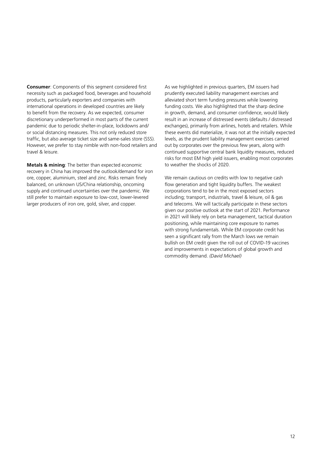**Consumer**: Components of this segment considered first necessity such as packaged food, beverages and household products, particularly exporters and companies with international operations in developed countries are likely to benefit from the recovery. As we expected, consumer discretionary underperformed in most parts of the current pandemic due to periodic shelter-in-place, lockdowns and/ or social distancing measures. This not only reduced store traffic, but also average ticket size and same-sales store (SSS). However, we prefer to stay nimble with non-food retailers and travel & leisure.

**Metals & mining**: The better than expected economic recovery in China has improved the outlook/demand for iron ore, copper, aluminium, steel and zinc. Risks remain finely balanced, on unknown US/China relationship, oncoming supply and continued uncertainties over the pandemic. We still prefer to maintain exposure to low-cost, lower-levered larger producers of iron ore, gold, silver, and copper.

As we highlighted in previous quarters, EM issuers had prudently executed liability management exercises and alleviated short term funding pressures while lowering funding costs. We also highlighted that the sharp decline in growth, demand, and consumer confidence, would likely result in an increase of distressed events (defaults / distressed exchanges), primarily from airlines, hotels and retailers. While these events did materialize, it was not at the initially expected levels, as the prudent liability management exercises carried out by corporates over the previous few years, along with continued supportive central bank liquidity measures, reduced risks for most EM high yield issuers, enabling most corporates to weather the shocks of 2020.

We remain cautious on credits with low to negative cash flow generation and tight liquidity buffers. The weakest corporations tend to be in the most exposed sectors including; transport, industrials, travel & leisure, oil & gas and telecoms. We will tactically participate in these sectors given our positive outlook at the start of 2021. Performance in 2021 will likely rely on beta management, tactical duration positioning, while maintaining core exposure to names with strong fundamentals. While EM corporate credit has seen a significant rally from the March lows we remain bullish on EM credit given the roll out of COVID-19 vaccines and improvements in expectations of global growth and commodity demand. *(David Michael)*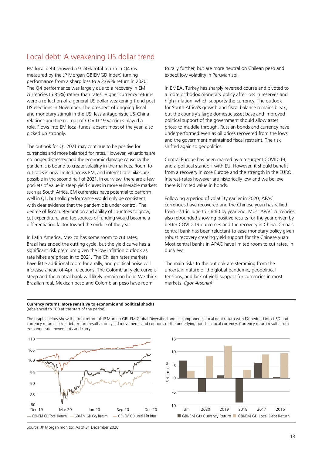# Local debt: A weakening US dollar trend

EM local debt showed a 9.24% total return in Q4 (as measured by the JP Morgan GBIEMGD Index) turning performance from a sharp loss to a 2.69% return in 2020. The Q4 performance was largely due to a recovery in EM currencies (6.35%) rather than rates. Higher currency returns were a reflection of a general US dollar weakening trend post US elections in November. The prospect of ongoing fiscal and monetary stimuli in the US, less antagonistic US-China relations and the roll out of COVID-19 vaccines played a role. Flows into EM local funds, absent most of the year, also picked up strongly.

The outlook for Q1 2021 may continue to be positive for currencies and more balanced for rates. However, valuations are no longer distressed and the economic damage cause by the pandemic is bound to create volatility in the markets. Room to cut rates is now limited across EM, and interest rate hikes are possible in the second half of 2021. In our view, there are a few pockets of value in steep yield curves in more vulnerable markets such as South Africa. EM currencies have potential to perform well in Q1, but solid performance would only be consistent with clear evidence that the pandemic is under control. The degree of fiscal deterioration and ability of countries to grow, cut expenditure, and tap sources of funding would become a differentiation factor toward the middle of the year.

In Latin America, Mexico has some room to cut rates. Brazil has ended the cutting cycle, but the yield curve has a significant risk premium given the low inflation outlook as rate hikes are priced in to 2021. The Chilean rates markets have little additional room for a rally, and political noise will increase ahead of April elections. The Colombian yield curve is steep and the central bank will likely remain on hold. We think Brazilian real, Mexican peso and Colombian peso have room

to rally further, but are more neutral on Chilean peso and expect low volatility in Peruvian sol.

In EMEA, Turkey has sharply reversed course and pivoted to a more orthodox monetary policy after loss in reserves and high inflation, which supports the currency. The outlook for South Africa's growth and fiscal balance remains bleak, but the country's large domestic asset base and improved political support of the government should allow asset prices to muddle through. Russian bonds and currency have underperformed even as oil prices recovered from the lows and the government maintained fiscal restraint. The risk shifted again to geopolitics.

Central Europe has been marred by a resurgent COVID-19, and a political standoff with EU. However, it should benefit from a recovery in core Europe and the strength in the EURO. Interest-rates however are historically low and we believe there is limited value in bonds.

Following a period of volatility earlier in 2020, APAC currencies have recovered and the Chinese yuan has rallied from ~7.1 in June to ~6.60 by year end. Most APAC currencies also rebounded showing positive results for the year driven by better COVID-19 outcomes and the recovery in China. China's central bank has been reluctant to ease monetary policy given robust recovery creating yield support for the Chinese yuan. Most central banks in APAC have limited room to cut rates, in our view.

The main risks to the outlook are stemming from the uncertain nature of the global pandemic, geopolitical tensions, and lack of yield support for currencies in most markets. *(Igor Arsenin)*

### **Currency returns: more sensitive to economic and political shocks**  (rebalanced to 100 at the start of the period)

The graphs below show the total return of JP Morgan GBI-EM Global Diversified and its components, local debt return with FX hedged into USD and currency returns. Local debt return results from yield movements and coupons of the underlying bonds in local currency. Currency return results from exchange rate movements and carry





Source: JP Morgan monitor. As of 31 December 2020